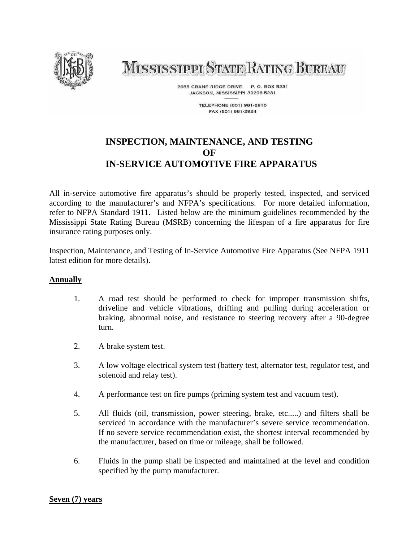

# **MISSISSIPPI STATE RATING BUREAU**

2685 CRANE RIDGE DRIVE P. O. BOX 5231 JACKSON, MISSISSIPPI 39296-5231

> **TELEPHONE (601) 981-2915** FAX (601) 981-2924

## **INSPECTION, MAINTENANCE, AND TESTING OF IN-SERVICE AUTOMOTIVE FIRE APPARATUS**

All in-service automotive fire apparatus's should be properly tested, inspected, and serviced according to the manufacturer's and NFPA's specifications. For more detailed information, refer to NFPA Standard 1911. Listed below are the minimum guidelines recommended by the Mississippi State Rating Bureau (MSRB) concerning the lifespan of a fire apparatus for fire insurance rating purposes only.

Inspection, Maintenance, and Testing of In-Service Automotive Fire Apparatus (See NFPA 1911 latest edition for more details).

#### **Annually**

- 1. A road test should be performed to check for improper transmission shifts, driveline and vehicle vibrations, drifting and pulling during acceleration or braking, abnormal noise, and resistance to steering recovery after a 90-degree turn.
- 2. A brake system test.
- 3. A low voltage electrical system test (battery test, alternator test, regulator test, and solenoid and relay test).
- 4. A performance test on fire pumps (priming system test and vacuum test).
- 5. All fluids (oil, transmission, power steering, brake, etc.....) and filters shall be serviced in accordance with the manufacturer's severe service recommendation. If no severe service recommendation exist, the shortest interval recommended by the manufacturer, based on time or mileage, shall be followed.
- 6. Fluids in the pump shall be inspected and maintained at the level and condition specified by the pump manufacturer.

#### **Seven (7) years**